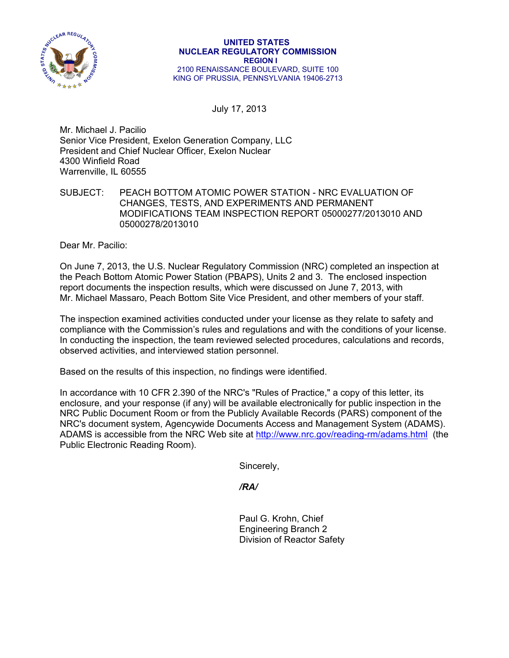

July 17, 2013

Mr. Michael J. Pacilio Senior Vice President, Exelon Generation Company, LLC President and Chief Nuclear Officer, Exelon Nuclear 4300 Winfield Road Warrenville, IL 60555

SUBJECT: PEACH BOTTOM ATOMIC POWER STATION - NRC EVALUATION OF CHANGES, TESTS, AND EXPERIMENTS AND PERMANENT MODIFICATIONS TEAM INSPECTION REPORT 05000277/2013010 AND 05000278/2013010

Dear Mr. Pacilio:

On June 7, 2013, the U.S. Nuclear Regulatory Commission (NRC) completed an inspection at the Peach Bottom Atomic Power Station (PBAPS), Units 2 and 3. The enclosed inspection report documents the inspection results, which were discussed on June 7, 2013, with Mr. Michael Massaro, Peach Bottom Site Vice President, and other members of your staff.

The inspection examined activities conducted under your license as they relate to safety and compliance with the Commission's rules and regulations and with the conditions of your license. In conducting the inspection, the team reviewed selected procedures, calculations and records, observed activities, and interviewed station personnel.

Based on the results of this inspection, no findings were identified.

In accordance with 10 CFR 2.390 of the NRC's "Rules of Practice," a copy of this letter, its enclosure, and your response (if any) will be available electronically for public inspection in the NRC Public Document Room or from the Publicly Available Records (PARS) component of the NRC's document system, Agencywide Documents Access and Management System (ADAMS). ADAMS is accessible from the NRC Web site at http://www.nrc.gov/reading-rm/adams.html (the Public Electronic Reading Room).

Sincerely,

 */RA/* 

 Paul G. Krohn, Chief Engineering Branch 2 Division of Reactor Safety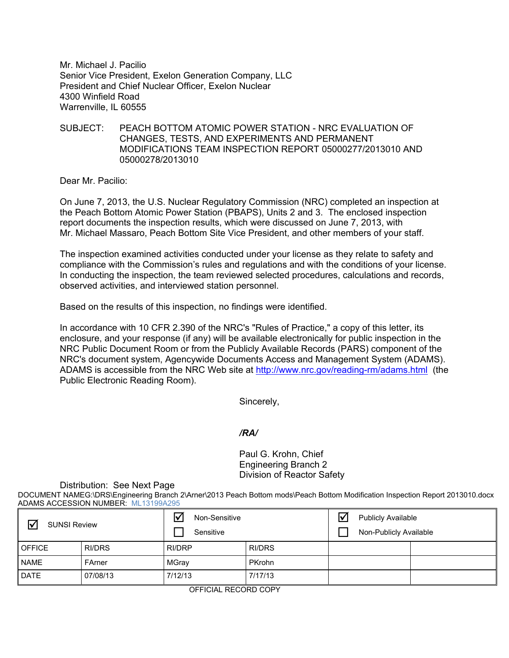Mr. Michael J. Pacilio Senior Vice President, Exelon Generation Company, LLC President and Chief Nuclear Officer, Exelon Nuclear 4300 Winfield Road Warrenville, IL 60555

## SUBJECT: PEACH BOTTOM ATOMIC POWER STATION - NRC EVALUATION OF CHANGES, TESTS, AND EXPERIMENTS AND PERMANENT MODIFICATIONS TEAM INSPECTION REPORT 05000277/2013010 AND 05000278/2013010

Dear Mr. Pacilio:

On June 7, 2013, the U.S. Nuclear Regulatory Commission (NRC) completed an inspection at the Peach Bottom Atomic Power Station (PBAPS), Units 2 and 3. The enclosed inspection report documents the inspection results, which were discussed on June 7, 2013, with Mr. Michael Massaro, Peach Bottom Site Vice President, and other members of your staff.

The inspection examined activities conducted under your license as they relate to safety and compliance with the Commission's rules and regulations and with the conditions of your license. In conducting the inspection, the team reviewed selected procedures, calculations and records, observed activities, and interviewed station personnel.

Based on the results of this inspection, no findings were identified.

In accordance with 10 CFR 2.390 of the NRC's "Rules of Practice," a copy of this letter, its enclosure, and your response (if any) will be available electronically for public inspection in the NRC Public Document Room or from the Publicly Available Records (PARS) component of the NRC's document system, Agencywide Documents Access and Management System (ADAMS). ADAMS is accessible from the NRC Web site at http://www.nrc.gov/reading-rm/adams.html (the Public Electronic Reading Room).

Sincerely,

# */RA/*

 Paul G. Krohn, Chief Engineering Branch 2 Division of Reactor Safety

#### Distribution: See Next Page

DOCUMENT NAMEG:\DRS\Engineering Branch 2\Arner\2013 Peach Bottom mods\Peach Bottom Modification Inspection Report 2013010.docx ADAMS ACCESSION NUMBER: ML13199A295

| $\triangledown$<br><b>SUNSI Review</b> |          | Non-Sensitive<br>Sensitive |               | Ⅳ<br><b>Publicly Available</b><br>Non-Publicly Available |  |  |
|----------------------------------------|----------|----------------------------|---------------|----------------------------------------------------------|--|--|
| <b>OFFICE</b>                          | RI/DRS   | RI/DRP                     | <b>RI/DRS</b> |                                                          |  |  |
| <b>NAME</b>                            | FArner   | MGray                      | <b>PKrohn</b> |                                                          |  |  |
| <b>DATE</b>                            | 07/08/13 | 7/12/13                    | 7/17/13       |                                                          |  |  |

OFFICIAL RECORD COPY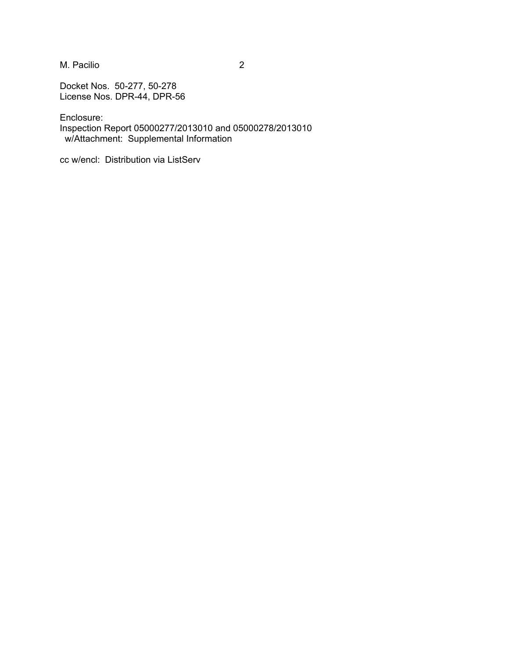M. Pacilio 2

Docket Nos. 50-277, 50-278 License Nos. DPR-44, DPR-56

Enclosure:

Inspection Report 05000277/2013010 and 05000278/2013010 w/Attachment: Supplemental Information

cc w/encl: Distribution via ListServ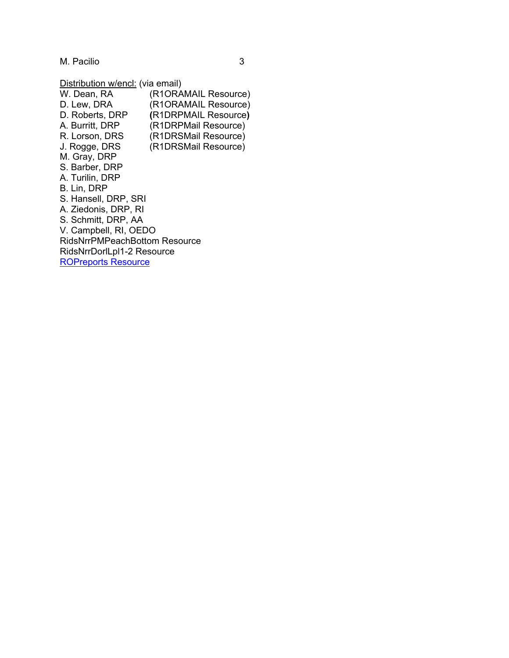M. Pacilio 3

Distribution w/encl: (via email)

W. Dean, RA (R1ORAMAIL Resource) D. Lew, DRA (R1ORAMAIL Resource) D. Roberts, DRP **(**R1DRPMAIL Resource**)**  A. Burritt, DRP (R1DRPMail Resource) R. Lorson, DRS (R1DRSMail Resource) J. Rogge, DRS (R1DRSMail Resource) M. Gray, DRP S. Barber, DRP A. Turilin, DRP B. Lin, DRP S. Hansell, DRP, SRI A. Ziedonis, DRP, RI S. Schmitt, DRP, AA V. Campbell, RI, OEDO RidsNrrPMPeachBottom Resource RidsNrrDorlLpl1-2 Resource ROPreports Resource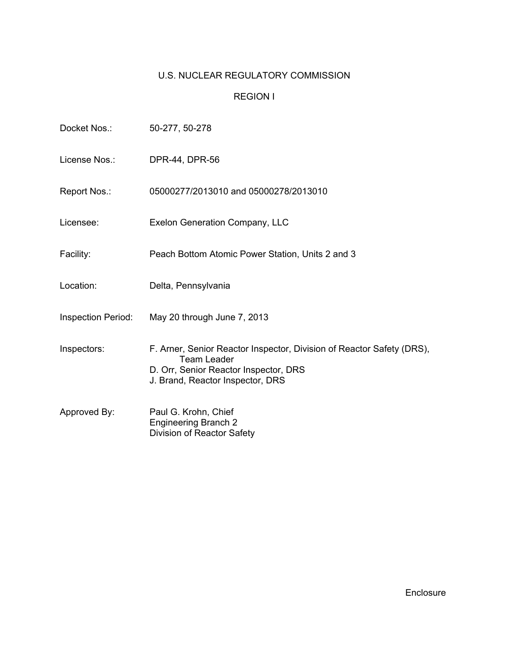# U.S. NUCLEAR REGULATORY COMMISSION

# REGION I

| Docket Nos.:       | 50-277, 50-278                                                                                                                                                           |
|--------------------|--------------------------------------------------------------------------------------------------------------------------------------------------------------------------|
| License Nos.:      | DPR-44, DPR-56                                                                                                                                                           |
| Report Nos.:       | 05000277/2013010 and 05000278/2013010                                                                                                                                    |
| Licensee:          | Exelon Generation Company, LLC                                                                                                                                           |
| Facility:          | Peach Bottom Atomic Power Station, Units 2 and 3                                                                                                                         |
| Location:          | Delta, Pennsylvania                                                                                                                                                      |
| Inspection Period: | May 20 through June 7, 2013                                                                                                                                              |
| Inspectors:        | F. Arner, Senior Reactor Inspector, Division of Reactor Safety (DRS),<br><b>Team Leader</b><br>D. Orr, Senior Reactor Inspector, DRS<br>J. Brand, Reactor Inspector, DRS |
| Approved By:       | Paul G. Krohn, Chief<br><b>Engineering Branch 2</b><br>Division of Reactor Safety                                                                                        |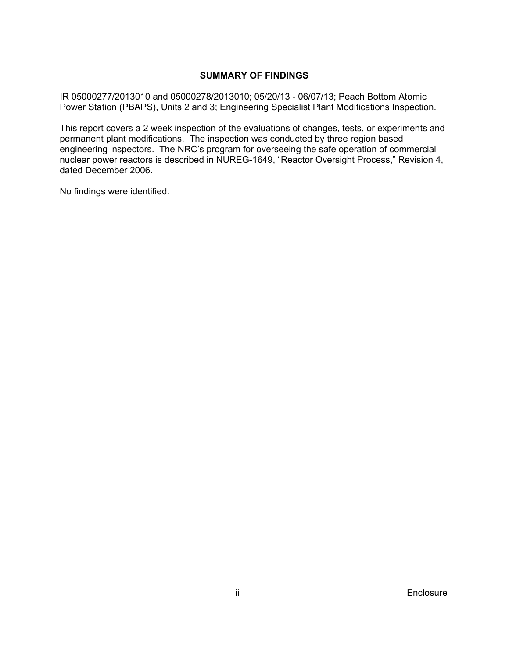## **SUMMARY OF FINDINGS**

IR 05000277/2013010 and 05000278/2013010; 05/20/13 - 06/07/13; Peach Bottom Atomic Power Station (PBAPS), Units 2 and 3; Engineering Specialist Plant Modifications Inspection.

This report covers a 2 week inspection of the evaluations of changes, tests, or experiments and permanent plant modifications. The inspection was conducted by three region based engineering inspectors. The NRC's program for overseeing the safe operation of commercial nuclear power reactors is described in NUREG-1649, "Reactor Oversight Process," Revision 4, dated December 2006.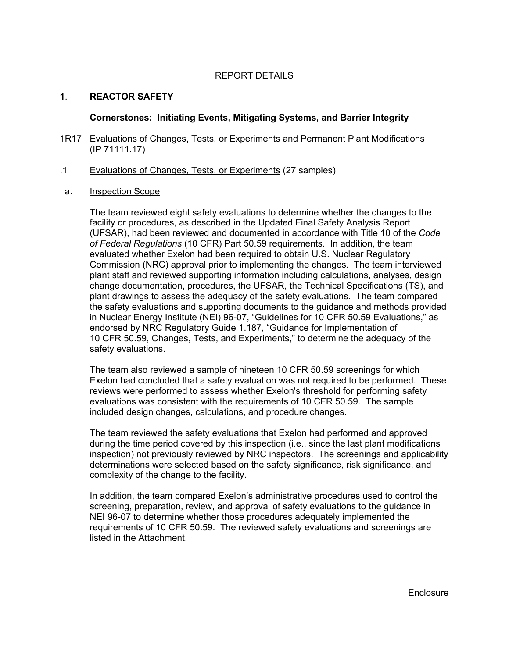## REPORT DETAILS

# **1**. **REACTOR SAFETY**

### **Cornerstones: Initiating Events, Mitigating Systems, and Barrier Integrity**

- 1R17 Evaluations of Changes, Tests, or Experiments and Permanent Plant Modifications (IP 71111.17)
- .1 Evaluations of Changes, Tests, or Experiments (27 samples)
- a. Inspection Scope

The team reviewed eight safety evaluations to determine whether the changes to the facility or procedures, as described in the Updated Final Safety Analysis Report (UFSAR), had been reviewed and documented in accordance with Title 10 of the *Code of Federal Regulations* (10 CFR) Part 50.59 requirements. In addition, the team evaluated whether Exelon had been required to obtain U.S. Nuclear Regulatory Commission (NRC) approval prior to implementing the changes. The team interviewed plant staff and reviewed supporting information including calculations, analyses, design change documentation, procedures, the UFSAR, the Technical Specifications (TS), and plant drawings to assess the adequacy of the safety evaluations. The team compared the safety evaluations and supporting documents to the guidance and methods provided in Nuclear Energy Institute (NEI) 96-07, "Guidelines for 10 CFR 50.59 Evaluations," as endorsed by NRC Regulatory Guide 1.187, "Guidance for Implementation of 10 CFR 50.59, Changes, Tests, and Experiments," to determine the adequacy of the safety evaluations.

The team also reviewed a sample of nineteen 10 CFR 50.59 screenings for which Exelon had concluded that a safety evaluation was not required to be performed. These reviews were performed to assess whether Exelon's threshold for performing safety evaluations was consistent with the requirements of 10 CFR 50.59. The sample included design changes, calculations, and procedure changes.

The team reviewed the safety evaluations that Exelon had performed and approved during the time period covered by this inspection (i.e., since the last plant modifications inspection) not previously reviewed by NRC inspectors. The screenings and applicability determinations were selected based on the safety significance, risk significance, and complexity of the change to the facility.

In addition, the team compared Exelon's administrative procedures used to control the screening, preparation, review, and approval of safety evaluations to the guidance in NEI 96-07 to determine whether those procedures adequately implemented the requirements of 10 CFR 50.59. The reviewed safety evaluations and screenings are listed in the Attachment.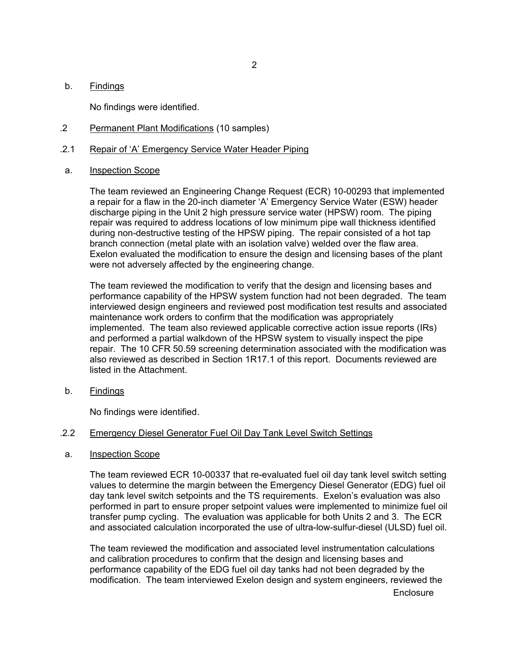#### b. Findings

No findings were identified.

- .2 Permanent Plant Modifications (10 samples)
- .2.1 Repair of 'A' Emergency Service Water Header Piping
- a. Inspection Scope

The team reviewed an Engineering Change Request (ECR) 10-00293 that implemented a repair for a flaw in the 20-inch diameter 'A' Emergency Service Water (ESW) header discharge piping in the Unit 2 high pressure service water (HPSW) room. The piping repair was required to address locations of low minimum pipe wall thickness identified during non-destructive testing of the HPSW piping. The repair consisted of a hot tap branch connection (metal plate with an isolation valve) welded over the flaw area. Exelon evaluated the modification to ensure the design and licensing bases of the plant were not adversely affected by the engineering change.

The team reviewed the modification to verify that the design and licensing bases and performance capability of the HPSW system function had not been degraded. The team interviewed design engineers and reviewed post modification test results and associated maintenance work orders to confirm that the modification was appropriately implemented. The team also reviewed applicable corrective action issue reports (IRs) and performed a partial walkdown of the HPSW system to visually inspect the pipe repair. The 10 CFR 50.59 screening determination associated with the modification was also reviewed as described in Section 1R17.1 of this report. Documents reviewed are listed in the Attachment.

b. Findings

No findings were identified.

#### .2.2 Emergency Diesel Generator Fuel Oil Day Tank Level Switch Settings

a. Inspection Scope

The team reviewed ECR 10-00337 that re-evaluated fuel oil day tank level switch setting values to determine the margin between the Emergency Diesel Generator (EDG) fuel oil day tank level switch setpoints and the TS requirements. Exelon's evaluation was also performed in part to ensure proper setpoint values were implemented to minimize fuel oil transfer pump cycling. The evaluation was applicable for both Units 2 and 3. The ECR and associated calculation incorporated the use of ultra-low-sulfur-diesel (ULSD) fuel oil.

The team reviewed the modification and associated level instrumentation calculations and calibration procedures to confirm that the design and licensing bases and performance capability of the EDG fuel oil day tanks had not been degraded by the modification. The team interviewed Exelon design and system engineers, reviewed the

**Enclosure**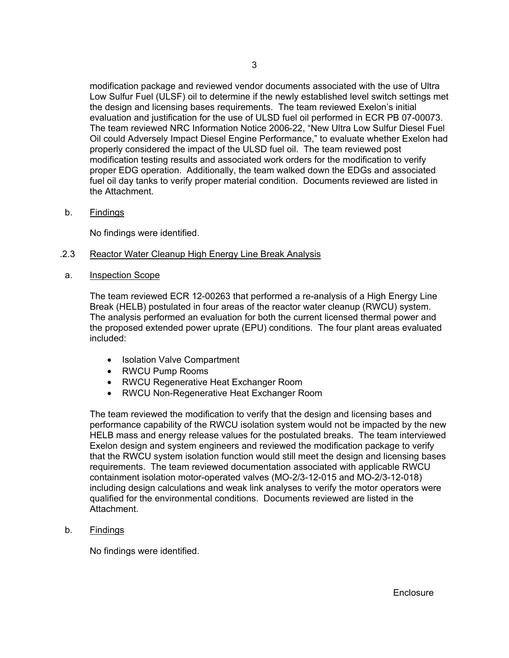modification package and reviewed vendor documents associated with the use of Ultra Low Sulfur Fuel (ULSF) oil to determine if the newly established level switch settings met the design and licensing bases requirements. The team reviewed Exelon's initial evaluation and justification for the use of ULSD fuel oil performed in ECR PB 07-00073. The team reviewed NRC Information Notice 2006-22, "New Ultra Low Sulfur Diesel Fuel Oil could Adversely Impact Diesel Engine Performance," to evaluate whether Exelon had properly considered the impact of the ULSD fuel oil. The team reviewed post modification testing results and associated work orders for the modification to verify proper EDG operation. Additionally, the team walked down the EDGs and associated fuel oil day tanks to verify proper material condition. Documents reviewed are listed in the Attachment.

b. Findings

No findings were identified.

## .2.3 Reactor Water Cleanup High Energy Line Break Analysis

a. Inspection Scope

The team reviewed ECR 12-00263 that performed a re-analysis of a High Energy Line Break (HELB) postulated in four areas of the reactor water cleanup (RWCU) system. The analysis performed an evaluation for both the current licensed thermal power and the proposed extended power uprate (EPU) conditions. The four plant areas evaluated included:

- Isolation Valve Compartment
- RWCU Pump Rooms
- RWCU Regenerative Heat Exchanger Room
- RWCU Non-Regenerative Heat Exchanger Room

The team reviewed the modification to verify that the design and licensing bases and performance capability of the RWCU isolation system would not be impacted by the new HELB mass and energy release values for the postulated breaks. The team interviewed Exelon design and system engineers and reviewed the modification package to verify that the RWCU system isolation function would still meet the design and licensing bases requirements. The team reviewed documentation associated with applicable RWCU containment isolation motor-operated valves (MO-2/3-12-015 and MO-2/3-12-018) including design calculations and weak link analyses to verify the motor operators were qualified for the environmental conditions. Documents reviewed are listed in the Attachment.

b. Findings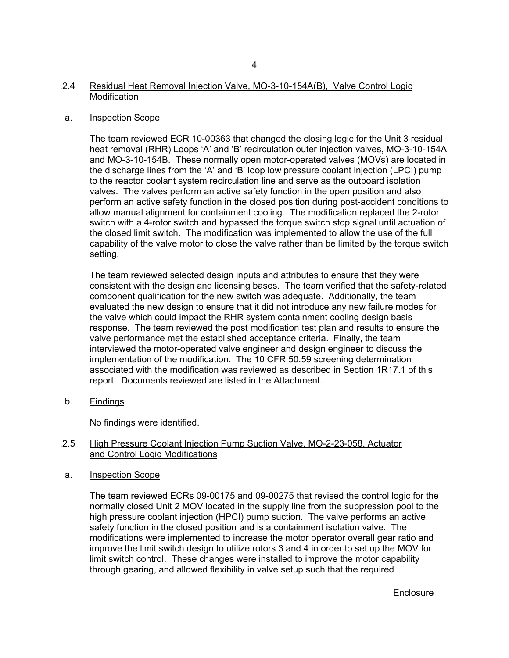## a. Inspection Scope

The team reviewed ECR 10-00363 that changed the closing logic for the Unit 3 residual heat removal (RHR) Loops 'A' and 'B' recirculation outer injection valves, MO-3-10-154A and MO-3-10-154B. These normally open motor-operated valves (MOVs) are located in the discharge lines from the 'A' and 'B' loop low pressure coolant injection (LPCI) pump to the reactor coolant system recirculation line and serve as the outboard isolation valves. The valves perform an active safety function in the open position and also perform an active safety function in the closed position during post-accident conditions to allow manual alignment for containment cooling. The modification replaced the 2-rotor switch with a 4-rotor switch and bypassed the torque switch stop signal until actuation of the closed limit switch. The modification was implemented to allow the use of the full capability of the valve motor to close the valve rather than be limited by the torque switch setting.

The team reviewed selected design inputs and attributes to ensure that they were consistent with the design and licensing bases. The team verified that the safety-related component qualification for the new switch was adequate. Additionally, the team evaluated the new design to ensure that it did not introduce any new failure modes for the valve which could impact the RHR system containment cooling design basis response. The team reviewed the post modification test plan and results to ensure the valve performance met the established acceptance criteria. Finally, the team interviewed the motor-operated valve engineer and design engineer to discuss the implementation of the modification. The 10 CFR 50.59 screening determination associated with the modification was reviewed as described in Section 1R17.1 of this report. Documents reviewed are listed in the Attachment.

b. Findings

No findings were identified.

## .2.5 High Pressure Coolant Injection Pump Suction Valve, MO-2-23-058, Actuator and Control Logic Modifications

a. Inspection Scope

The team reviewed ECRs 09-00175 and 09-00275 that revised the control logic for the normally closed Unit 2 MOV located in the supply line from the suppression pool to the high pressure coolant injection (HPCI) pump suction. The valve performs an active safety function in the closed position and is a containment isolation valve. The modifications were implemented to increase the motor operator overall gear ratio and improve the limit switch design to utilize rotors 3 and 4 in order to set up the MOV for limit switch control. These changes were installed to improve the motor capability through gearing, and allowed flexibility in valve setup such that the required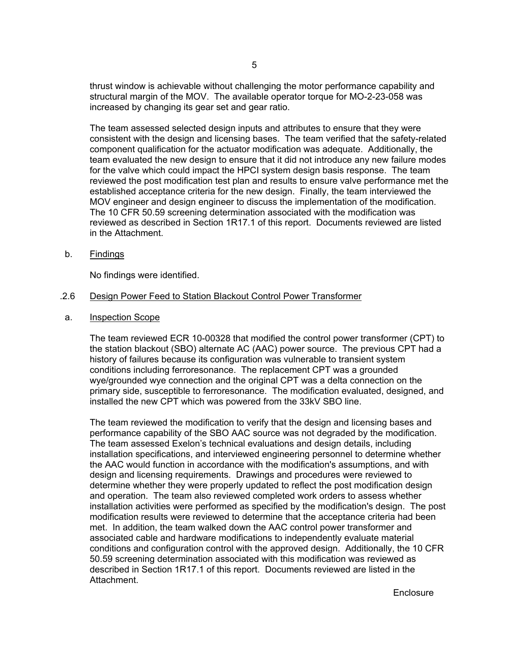thrust window is achievable without challenging the motor performance capability and structural margin of the MOV. The available operator torque for MO-2-23-058 was increased by changing its gear set and gear ratio.

The team assessed selected design inputs and attributes to ensure that they were consistent with the design and licensing bases. The team verified that the safety-related component qualification for the actuator modification was adequate. Additionally, the team evaluated the new design to ensure that it did not introduce any new failure modes for the valve which could impact the HPCI system design basis response. The team reviewed the post modification test plan and results to ensure valve performance met the established acceptance criteria for the new design. Finally, the team interviewed the MOV engineer and design engineer to discuss the implementation of the modification. The 10 CFR 50.59 screening determination associated with the modification was reviewed as described in Section 1R17.1 of this report. Documents reviewed are listed in the Attachment.

b. Findings

No findings were identified.

#### .2.6 Design Power Feed to Station Blackout Control Power Transformer

a. Inspection Scope

The team reviewed ECR 10-00328 that modified the control power transformer (CPT) to the station blackout (SBO) alternate AC (AAC) power source. The previous CPT had a history of failures because its configuration was vulnerable to transient system conditions including ferroresonance. The replacement CPT was a grounded wye/grounded wye connection and the original CPT was a delta connection on the primary side, susceptible to ferroresonance. The modification evaluated, designed, and installed the new CPT which was powered from the 33kV SBO line.

The team reviewed the modification to verify that the design and licensing bases and performance capability of the SBO AAC source was not degraded by the modification. The team assessed Exelon's technical evaluations and design details, including installation specifications, and interviewed engineering personnel to determine whether the AAC would function in accordance with the modification's assumptions, and with design and licensing requirements. Drawings and procedures were reviewed to determine whether they were properly updated to reflect the post modification design and operation. The team also reviewed completed work orders to assess whether installation activities were performed as specified by the modification's design. The post modification results were reviewed to determine that the acceptance criteria had been met. In addition, the team walked down the AAC control power transformer and associated cable and hardware modifications to independently evaluate material conditions and configuration control with the approved design. Additionally, the 10 CFR 50.59 screening determination associated with this modification was reviewed as described in Section 1R17.1 of this report. Documents reviewed are listed in the Attachment.

**Enclosure**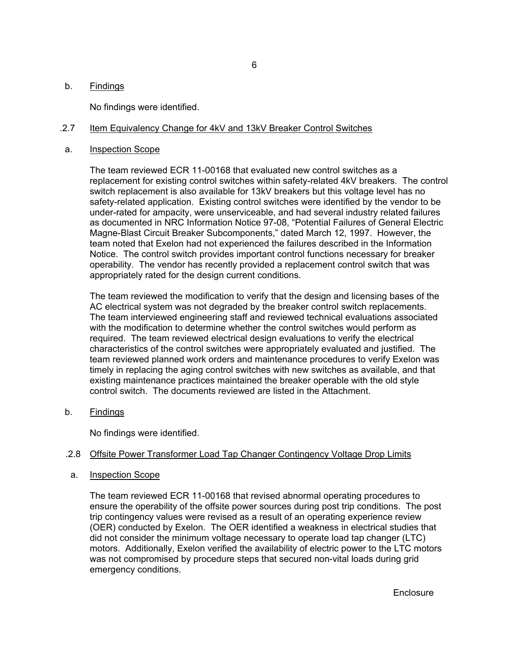#### b. Findings

No findings were identified.

#### .2.7 Item Equivalency Change for 4kV and 13kV Breaker Control Switches

#### a. Inspection Scope

The team reviewed ECR 11-00168 that evaluated new control switches as a replacement for existing control switches within safety-related 4kV breakers. The control switch replacement is also available for 13kV breakers but this voltage level has no safety-related application. Existing control switches were identified by the vendor to be under-rated for ampacity, were unserviceable, and had several industry related failures as documented in NRC Information Notice 97-08, "Potential Failures of General Electric Magne-Blast Circuit Breaker Subcomponents," dated March 12, 1997. However, the team noted that Exelon had not experienced the failures described in the Information Notice. The control switch provides important control functions necessary for breaker operability. The vendor has recently provided a replacement control switch that was appropriately rated for the design current conditions.

The team reviewed the modification to verify that the design and licensing bases of the AC electrical system was not degraded by the breaker control switch replacements. The team interviewed engineering staff and reviewed technical evaluations associated with the modification to determine whether the control switches would perform as required. The team reviewed electrical design evaluations to verify the electrical characteristics of the control switches were appropriately evaluated and justified. The team reviewed planned work orders and maintenance procedures to verify Exelon was timely in replacing the aging control switches with new switches as available, and that existing maintenance practices maintained the breaker operable with the old style control switch. The documents reviewed are listed in the Attachment.

b. Findings

No findings were identified.

#### .2.8 Offsite Power Transformer Load Tap Changer Contingency Voltage Drop Limits

#### a. Inspection Scope

The team reviewed ECR 11-00168 that revised abnormal operating procedures to ensure the operability of the offsite power sources during post trip conditions. The post trip contingency values were revised as a result of an operating experience review (OER) conducted by Exelon. The OER identified a weakness in electrical studies that did not consider the minimum voltage necessary to operate load tap changer (LTC) motors. Additionally, Exelon verified the availability of electric power to the LTC motors was not compromised by procedure steps that secured non-vital loads during grid emergency conditions.

Enclosure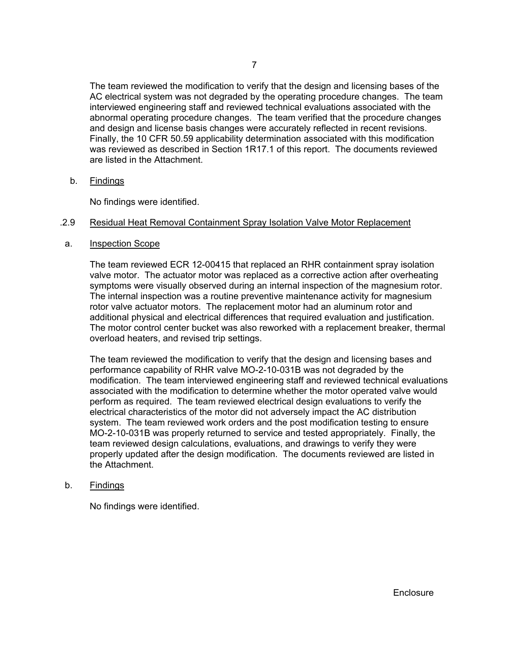The team reviewed the modification to verify that the design and licensing bases of the AC electrical system was not degraded by the operating procedure changes. The team interviewed engineering staff and reviewed technical evaluations associated with the abnormal operating procedure changes. The team verified that the procedure changes and design and license basis changes were accurately reflected in recent revisions. Finally, the 10 CFR 50.59 applicability determination associated with this modification was reviewed as described in Section 1R17.1 of this report. The documents reviewed are listed in the Attachment.

b. Findings

No findings were identified.

#### .2.9 Residual Heat Removal Containment Spray Isolation Valve Motor Replacement

a. Inspection Scope

The team reviewed ECR 12-00415 that replaced an RHR containment spray isolation valve motor. The actuator motor was replaced as a corrective action after overheating symptoms were visually observed during an internal inspection of the magnesium rotor. The internal inspection was a routine preventive maintenance activity for magnesium rotor valve actuator motors. The replacement motor had an aluminum rotor and additional physical and electrical differences that required evaluation and justification. The motor control center bucket was also reworked with a replacement breaker, thermal overload heaters, and revised trip settings.

The team reviewed the modification to verify that the design and licensing bases and performance capability of RHR valve MO-2-10-031B was not degraded by the modification. The team interviewed engineering staff and reviewed technical evaluations associated with the modification to determine whether the motor operated valve would perform as required. The team reviewed electrical design evaluations to verify the electrical characteristics of the motor did not adversely impact the AC distribution system. The team reviewed work orders and the post modification testing to ensure MO-2-10-031B was properly returned to service and tested appropriately. Finally, the team reviewed design calculations, evaluations, and drawings to verify they were properly updated after the design modification. The documents reviewed are listed in the Attachment.

#### b. Findings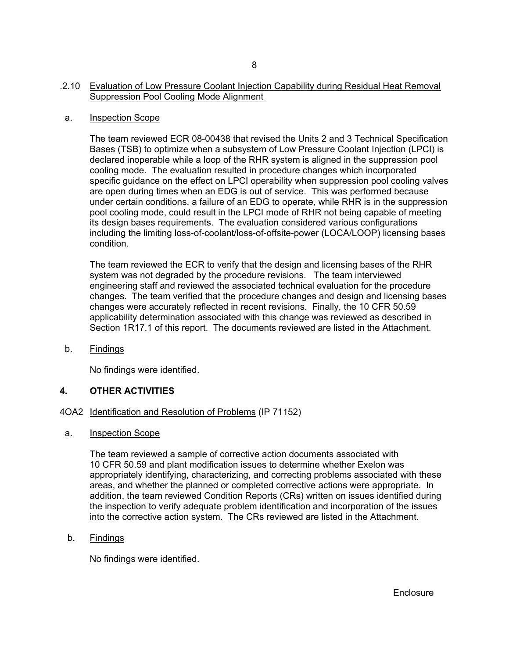## .2.10 Evaluation of Low Pressure Coolant Injection Capability during Residual Heat Removal Suppression Pool Cooling Mode Alignment

#### a. Inspection Scope

The team reviewed ECR 08-00438 that revised the Units 2 and 3 Technical Specification Bases (TSB) to optimize when a subsystem of Low Pressure Coolant Injection (LPCI) is declared inoperable while a loop of the RHR system is aligned in the suppression pool cooling mode. The evaluation resulted in procedure changes which incorporated specific guidance on the effect on LPCI operability when suppression pool cooling valves are open during times when an EDG is out of service. This was performed because under certain conditions, a failure of an EDG to operate, while RHR is in the suppression pool cooling mode, could result in the LPCI mode of RHR not being capable of meeting its design bases requirements. The evaluation considered various configurations including the limiting loss-of-coolant/loss-of-offsite-power (LOCA/LOOP) licensing bases condition.

The team reviewed the ECR to verify that the design and licensing bases of the RHR system was not degraded by the procedure revisions. The team interviewed engineering staff and reviewed the associated technical evaluation for the procedure changes. The team verified that the procedure changes and design and licensing bases changes were accurately reflected in recent revisions. Finally, the 10 CFR 50.59 applicability determination associated with this change was reviewed as described in Section 1R17.1 of this report. The documents reviewed are listed in the Attachment.

b. Findings

No findings were identified.

# **4. OTHER ACTIVITIES**

#### 4OA2 Identification and Resolution of Problems (IP 71152)

a. Inspection Scope

The team reviewed a sample of corrective action documents associated with 10 CFR 50.59 and plant modification issues to determine whether Exelon was appropriately identifying, characterizing, and correcting problems associated with these areas, and whether the planned or completed corrective actions were appropriate. In addition, the team reviewed Condition Reports (CRs) written on issues identified during the inspection to verify adequate problem identification and incorporation of the issues into the corrective action system. The CRs reviewed are listed in the Attachment.

#### b. Findings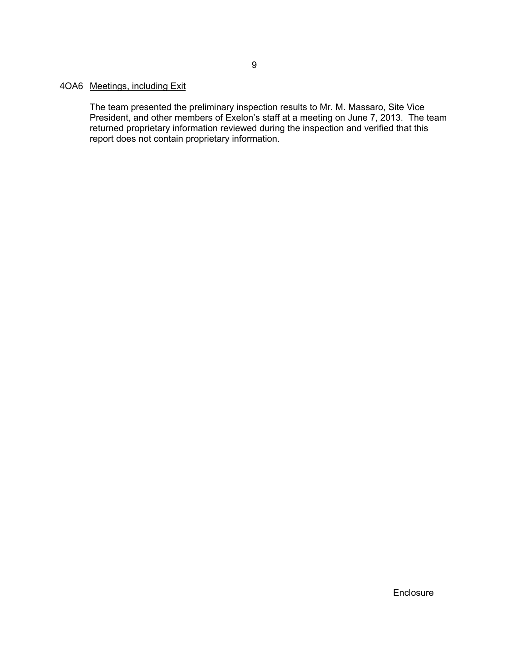# 4OA6 Meetings, including Exit

The team presented the preliminary inspection results to Mr. M. Massaro, Site Vice President, and other members of Exelon's staff at a meeting on June 7, 2013. The team returned proprietary information reviewed during the inspection and verified that this report does not contain proprietary information.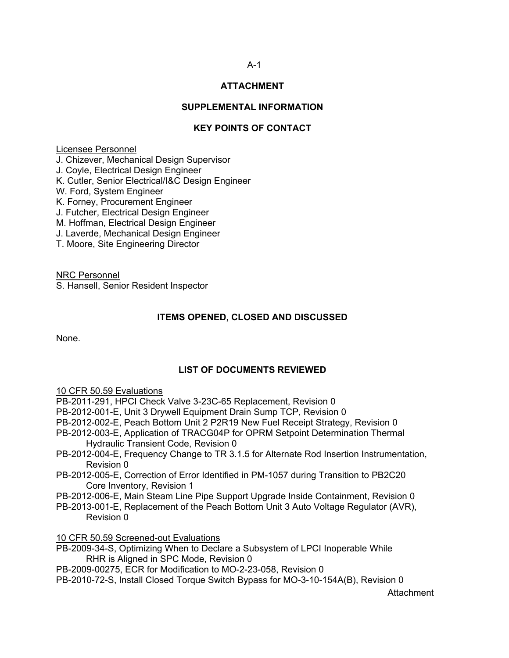# **ATTACHMENT**

## **SUPPLEMENTAL INFORMATION**

# **KEY POINTS OF CONTACT**

#### Licensee Personnel

J. Chizever, Mechanical Design Supervisor

J. Coyle, Electrical Design Engineer

K. Cutler, Senior Electrical/I&C Design Engineer

W. Ford, System Engineer

K. Forney, Procurement Engineer

J. Futcher, Electrical Design Engineer

M. Hoffman, Electrical Design Engineer

J. Laverde, Mechanical Design Engineer

T. Moore, Site Engineering Director

NRC Personnel

S. Hansell, Senior Resident Inspector

# **ITEMS OPENED, CLOSED AND DISCUSSED**

None.

#### **LIST OF DOCUMENTS REVIEWED**

10 CFR 50.59 Evaluations

PB-2011-291, HPCI Check Valve 3-23C-65 Replacement, Revision 0

PB-2012-001-E, Unit 3 Drywell Equipment Drain Sump TCP, Revision 0

PB-2012-002-E, Peach Bottom Unit 2 P2R19 New Fuel Receipt Strategy, Revision 0

- PB-2012-003-E, Application of TRACG04P for OPRM Setpoint Determination Thermal Hydraulic Transient Code, Revision 0
- PB-2012-004-E, Frequency Change to TR 3.1.5 for Alternate Rod Insertion Instrumentation, Revision 0
- PB-2012-005-E, Correction of Error Identified in PM-1057 during Transition to PB2C20 Core Inventory, Revision 1
- PB-2012-006-E, Main Steam Line Pipe Support Upgrade Inside Containment, Revision 0
- PB-2013-001-E, Replacement of the Peach Bottom Unit 3 Auto Voltage Regulator (AVR), Revision 0

10 CFR 50.59 Screened-out Evaluations

PB-2009-34-S, Optimizing When to Declare a Subsystem of LPCI Inoperable While RHR is Aligned in SPC Mode, Revision 0

PB-2009-00275, ECR for Modification to MO-2-23-058, Revision 0

PB-2010-72-S, Install Closed Torque Switch Bypass for MO-3-10-154A(B), Revision 0

Attachment

## A-1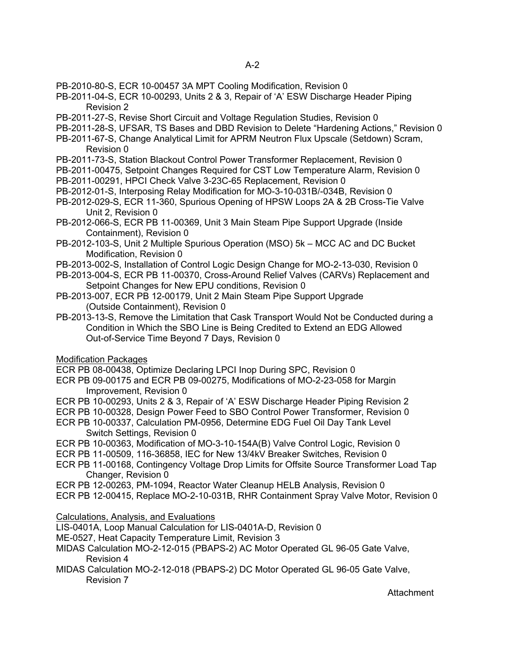- PB-2010-80-S, ECR 10-00457 3A MPT Cooling Modification, Revision 0
- PB-2011-04-S, ECR 10-00293, Units 2 & 3, Repair of 'A' ESW Discharge Header Piping Revision 2
- PB-2011-27-S, Revise Short Circuit and Voltage Regulation Studies, Revision 0
- PB-2011-28-S, UFSAR, TS Bases and DBD Revision to Delete "Hardening Actions," Revision 0
- PB-2011-67-S, Change Analytical Limit for APRM Neutron Flux Upscale (Setdown) Scram, Revision 0
- PB-2011-73-S, Station Blackout Control Power Transformer Replacement, Revision 0
- PB-2011-00475, Setpoint Changes Required for CST Low Temperature Alarm, Revision 0
- PB-2011-00291, HPCI Check Valve 3-23C-65 Replacement, Revision 0
- PB-2012-01-S, Interposing Relay Modification for MO-3-10-031B/-034B, Revision 0
- PB-2012-029-S, ECR 11-360, Spurious Opening of HPSW Loops 2A & 2B Cross-Tie Valve Unit 2, Revision 0
- PB-2012-066-S, ECR PB 11-00369, Unit 3 Main Steam Pipe Support Upgrade (Inside Containment), Revision 0
- PB-2012-103-S, Unit 2 Multiple Spurious Operation (MSO) 5k MCC AC and DC Bucket Modification, Revision 0
- PB-2013-002-S, Installation of Control Logic Design Change for MO-2-13-030, Revision 0
- PB-2013-004-S, ECR PB 11-00370, Cross-Around Relief Valves (CARVs) Replacement and Setpoint Changes for New EPU conditions, Revision 0
- PB-2013-007, ECR PB 12-00179, Unit 2 Main Steam Pipe Support Upgrade (Outside Containment), Revision 0
- PB-2013-13-S, Remove the Limitation that Cask Transport Would Not be Conducted during a Condition in Which the SBO Line is Being Credited to Extend an EDG Allowed Out-of-Service Time Beyond 7 Days, Revision 0

#### Modification Packages

- ECR PB 08-00438, Optimize Declaring LPCI Inop During SPC, Revision 0
- ECR PB 09-00175 and ECR PB 09-00275, Modifications of MO-2-23-058 for Margin Improvement, Revision 0
- ECR PB 10-00293, Units 2 & 3, Repair of 'A' ESW Discharge Header Piping Revision 2
- ECR PB 10-00328, Design Power Feed to SBO Control Power Transformer, Revision 0
- ECR PB 10-00337, Calculation PM-0956, Determine EDG Fuel Oil Day Tank Level Switch Settings, Revision 0
- ECR PB 10-00363, Modification of MO-3-10-154A(B) Valve Control Logic, Revision 0
- ECR PB 11-00509, 116-36858, IEC for New 13/4kV Breaker Switches, Revision 0
- ECR PB 11-00168, Contingency Voltage Drop Limits for Offsite Source Transformer Load Tap Changer, Revision 0
- ECR PB 12-00263, PM-1094, Reactor Water Cleanup HELB Analysis, Revision 0
- ECR PB 12-00415, Replace MO-2-10-031B, RHR Containment Spray Valve Motor, Revision 0

#### Calculations, Analysis, and Evaluations

- LIS-0401A, Loop Manual Calculation for LIS-0401A-D, Revision 0
- ME-0527, Heat Capacity Temperature Limit, Revision 3
- MIDAS Calculation MO-2-12-015 (PBAPS-2) AC Motor Operated GL 96-05 Gate Valve, Revision 4
- MIDAS Calculation MO-2-12-018 (PBAPS-2) DC Motor Operated GL 96-05 Gate Valve, Revision 7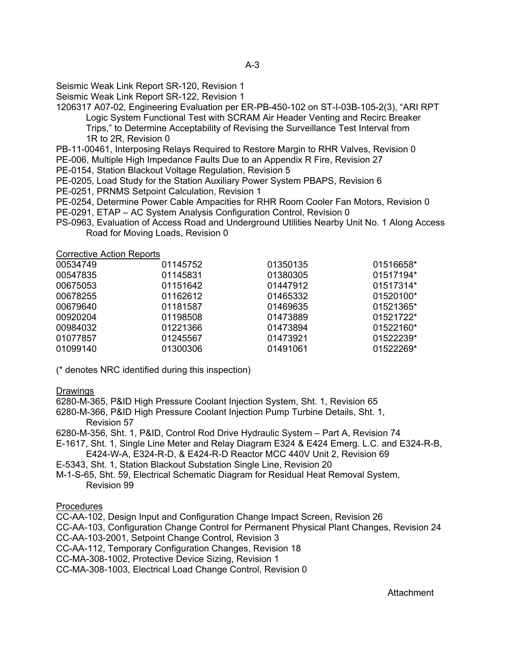Seismic Weak Link Report SR-120, Revision 1

Seismic Weak Link Report SR-122, Revision 1

1206317 A07-02, Engineering Evaluation per ER-PB-450-102 on ST-I-03B-105-2(3), "ARI RPT Logic System Functional Test with SCRAM Air Header Venting and Recirc Breaker

Trips," to Determine Acceptability of Revising the Surveillance Test Interval from 1R to 2R, Revision 0

PB-11-00461, Interposing Relays Required to Restore Margin to RHR Valves, Revision 0

- PE-006, Multiple High Impedance Faults Due to an Appendix R Fire, Revision 27
- PE-0154, Station Blackout Voltage Regulation, Revision 5

PE-0205, Load Study for the Station Auxiliary Power System PBAPS, Revision 6

- PE-0251, PRNMS Setpoint Calculation, Revision 1
- PE-0254, Determine Power Cable Ampacities for RHR Room Cooler Fan Motors, Revision 0
- PE-0291, ETAP AC System Analysis Configuration Control, Revision 0
- PS-0963, Evaluation of Access Road and Underground Utilities Nearby Unit No. 1 Along Access Road for Moving Loads, Revision 0

Corrective Action Reports

| 00534749 | 01145752 | 01350135 | 01516658* |
|----------|----------|----------|-----------|
| 00547835 | 01145831 | 01380305 | 01517194* |
| 00675053 | 01151642 | 01447912 | 01517314* |
| 00678255 | 01162612 | 01465332 | 01520100* |
| 00679640 | 01181587 | 01469635 | 01521365* |
| 00920204 | 01198508 | 01473889 | 01521722* |
| 00984032 | 01221366 | 01473894 | 01522160* |
| 01077857 | 01245567 | 01473921 | 01522239* |
| 01099140 | 01300306 | 01491061 | 01522269* |

(\* denotes NRC identified during this inspection)

#### **Drawings**

6280-M-365, P&ID High Pressure Coolant Injection System, Sht. 1, Revision 65

6280-M-366, P&ID High Pressure Coolant Injection Pump Turbine Details, Sht. 1, Revision 57

6280-M-356, Sht. 1, P&ID, Control Rod Drive Hydraulic System – Part A, Revision 74

- E-1617, Sht. 1, Single Line Meter and Relay Diagram E324 & E424 Emerg. L.C. and E324-R-B,
- E424-W-A, E324-R-D, & E424-R-D Reactor MCC 440V Unit 2, Revision 69
- E-5343, Sht. 1, Station Blackout Substation Single Line, Revision 20
- M-1-S-65, Sht. 59, Electrical Schematic Diagram for Residual Heat Removal System, Revision 99

#### **Procedures**

CC-AA-102, Design Input and Configuration Change Impact Screen, Revision 26

CC-AA-103, Configuration Change Control for Permanent Physical Plant Changes, Revision 24

CC-AA-103-2001, Setpoint Change Control, Revision 3

CC-AA-112, Temporary Configuration Changes, Revision 18

CC-MA-308-1002, Protective Device Sizing, Revision 1

CC-MA-308-1003, Electrical Load Change Control, Revision 0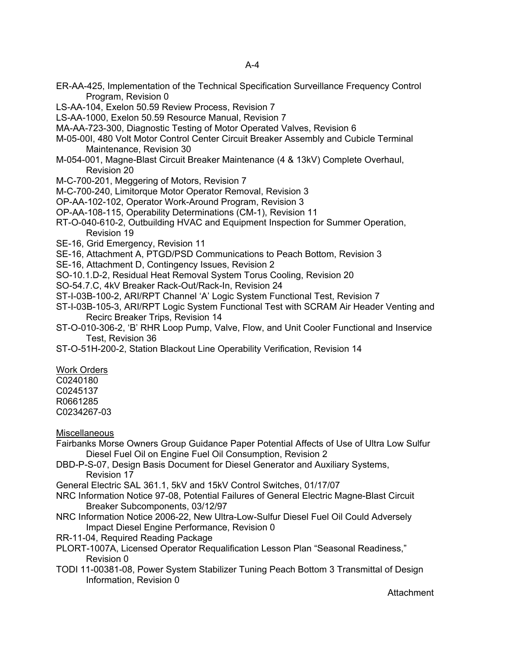- ER-AA-425, Implementation of the Technical Specification Surveillance Frequency Control Program, Revision 0
- LS-AA-104, Exelon 50.59 Review Process, Revision 7
- LS-AA-1000, Exelon 50.59 Resource Manual, Revision 7
- MA-AA-723-300, Diagnostic Testing of Motor Operated Valves, Revision 6
- M-05-00I, 480 Volt Motor Control Center Circuit Breaker Assembly and Cubicle Terminal Maintenance, Revision 30
- M-054-001, Magne-Blast Circuit Breaker Maintenance (4 & 13kV) Complete Overhaul, Revision 20
- M-C-700-201, Meggering of Motors, Revision 7
- M-C-700-240, Limitorque Motor Operator Removal, Revision 3
- OP-AA-102-102, Operator Work-Around Program, Revision 3
- OP-AA-108-115, Operability Determinations (CM-1), Revision 11
- RT-O-040-610-2, Outbuilding HVAC and Equipment Inspection for Summer Operation, Revision 19
- SE-16, Grid Emergency, Revision 11
- SE-16, Attachment A, PTGD/PSD Communications to Peach Bottom, Revision 3
- SE-16, Attachment D, Contingency Issues, Revision 2
- SO-10.1.D-2, Residual Heat Removal System Torus Cooling, Revision 20
- SO-54.7.C, 4kV Breaker Rack-Out/Rack-In, Revision 24
- ST-I-03B-100-2, ARI/RPT Channel 'A' Logic System Functional Test, Revision 7
- ST-I-03B-105-3, ARI/RPT Logic System Functional Test with SCRAM Air Header Venting and Recirc Breaker Trips, Revision 14
- ST-O-010-306-2, 'B' RHR Loop Pump, Valve, Flow, and Unit Cooler Functional and Inservice Test, Revision 36
- ST-O-51H-200-2, Station Blackout Line Operability Verification, Revision 14

Work Orders C0240180 C0245137 R0661285 C0234267-03

**Miscellaneous** 

- Fairbanks Morse Owners Group Guidance Paper Potential Affects of Use of Ultra Low Sulfur Diesel Fuel Oil on Engine Fuel Oil Consumption, Revision 2
- DBD-P-S-07, Design Basis Document for Diesel Generator and Auxiliary Systems, Revision 17

General Electric SAL 361.1, 5kV and 15kV Control Switches, 01/17/07

- NRC Information Notice 97-08, Potential Failures of General Electric Magne-Blast Circuit Breaker Subcomponents, 03/12/97
- NRC Information Notice 2006-22, New Ultra-Low-Sulfur Diesel Fuel Oil Could Adversely Impact Diesel Engine Performance, Revision 0
- RR-11-04, Required Reading Package
- PLORT-1007A, Licensed Operator Requalification Lesson Plan "Seasonal Readiness," Revision 0
- TODI 11-00381-08, Power System Stabilizer Tuning Peach Bottom 3 Transmittal of Design Information, Revision 0